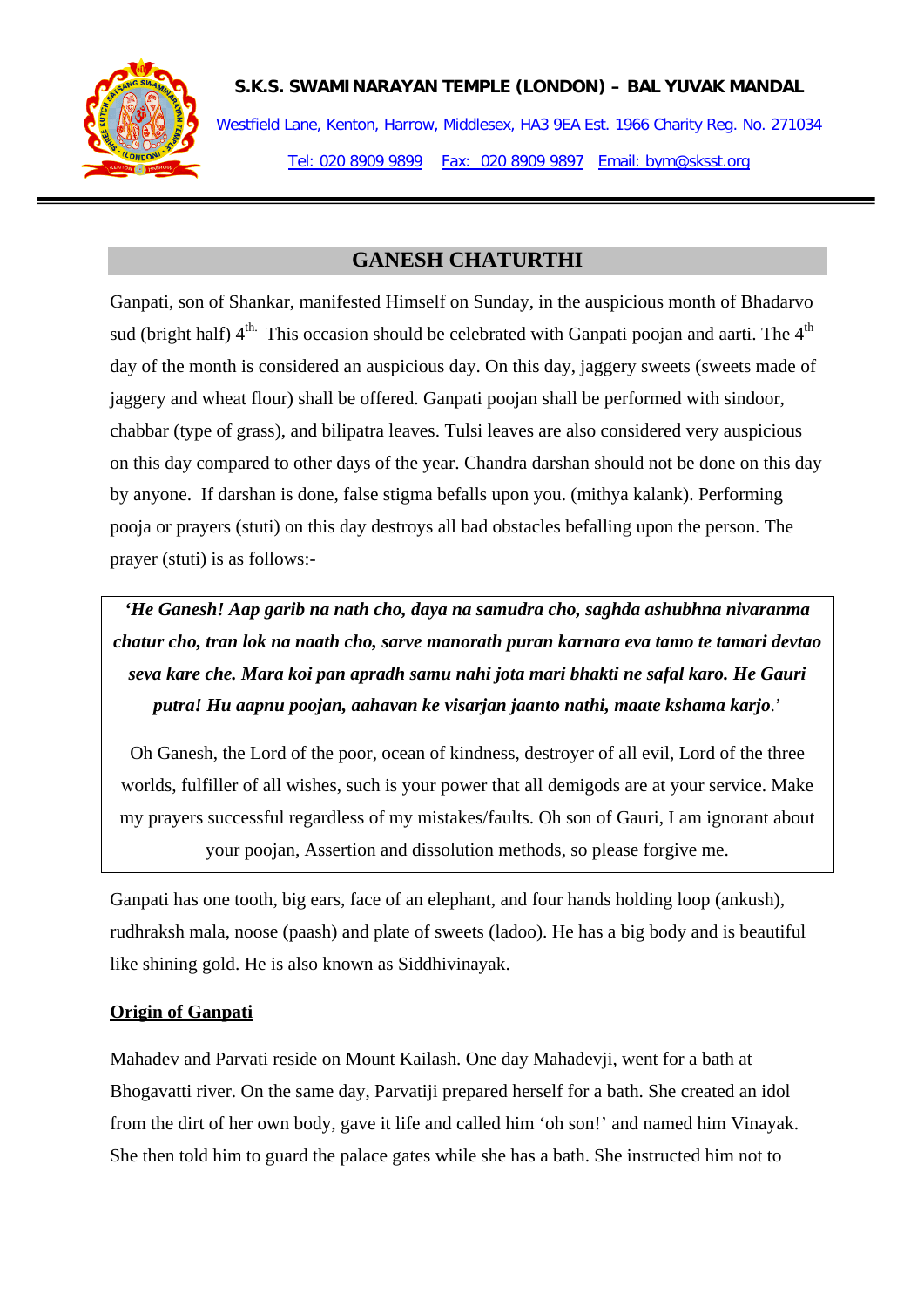

**S.K.S. SWAMINARAYAN TEMPLE (LONDON) – BAL YUVAK MANDAL**

Westfield Lane, Kenton, Harrow, Middlesex, HA3 9EA Est. 1966 Charity Reg. No. 271034 Tel: 020 8909 9899 Fax: 020 8909 9897 Email: bym@sksst.org

## **GANESH CHATURTHI**

Ganpati, son of Shankar, manifested Himself on Sunday, in the auspicious month of Bhadarvo sud (bright half)  $4^{th}$ . This occasion should be celebrated with Ganpati poojan and aarti. The  $4^{th}$ day of the month is considered an auspicious day. On this day, jaggery sweets (sweets made of jaggery and wheat flour) shall be offered. Ganpati poojan shall be performed with sindoor, chabbar (type of grass), and bilipatra leaves. Tulsi leaves are also considered very auspicious on this day compared to other days of the year. Chandra darshan should not be done on this day by anyone. If darshan is done, false stigma befalls upon you. (mithya kalank). Performing pooja or prayers (stuti) on this day destroys all bad obstacles befalling upon the person. The prayer (stuti) is as follows:-

*'He Ganesh! Aap garib na nath cho, daya na samudra cho, saghda ashubhna nivaranma chatur cho, tran lok na naath cho, sarve manorath puran karnara eva tamo te tamari devtao seva kare che. Mara koi pan apradh samu nahi jota mari bhakti ne safal karo. He Gauri putra! Hu aapnu poojan, aahavan ke visarjan jaanto nathi, maate kshama karjo*.'

Oh Ganesh, the Lord of the poor, ocean of kindness, destroyer of all evil, Lord of the three worlds, fulfiller of all wishes, such is your power that all demigods are at your service. Make my prayers successful regardless of my mistakes/faults. Oh son of Gauri, I am ignorant about your poojan, Assertion and dissolution methods, so please forgive me.

Ganpati has one tooth, big ears, face of an elephant, and four hands holding loop (ankush), rudhraksh mala, noose (paash) and plate of sweets (ladoo). He has a big body and is beautiful like shining gold. He is also known as Siddhivinayak.

## **Origin of Ganpati**

Mahadev and Parvati reside on Mount Kailash. One day Mahadevji, went for a bath at Bhogavatti river. On the same day, Parvatiji prepared herself for a bath. She created an idol from the dirt of her own body, gave it life and called him 'oh son!' and named him Vinayak. She then told him to guard the palace gates while she has a bath. She instructed him not to